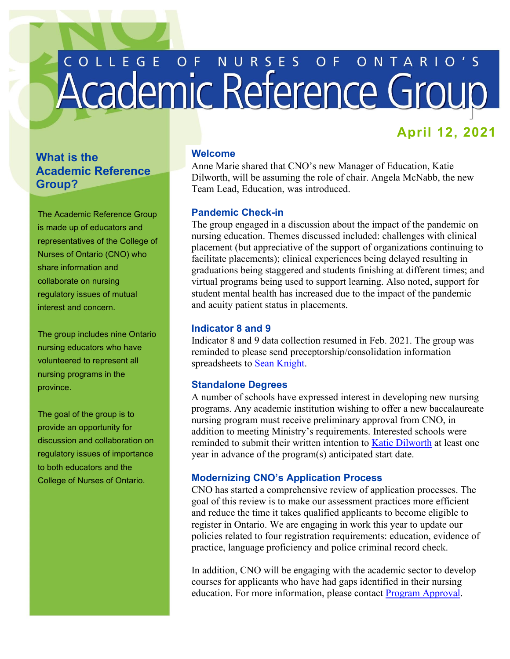# COLLEGE OF NURSES OF ONTARIO'S

# **April 12, 2021**

# **What is the Academic Reference Group?**

The Academic Reference Group is made up of educators and representatives of the College of Nurses of Ontario (CNO) who share information and collaborate on nursing regulatory issues of mutual interest and concern.

 The group includes nine Ontario nursing educators who have volunteered to represent all nursing programs in the province.

 provide an opportunity for The goal of the group is to discussion and collaboration on regulatory issues of importance to both educators and the College of Nurses of Ontario.

## **Welcome**

Anne Marie shared that CNO's new Manager of Education, Katie Dilworth, will be assuming the role of chair. Angela McNabb, the new Team Lead, Education, was introduced.

# **Pandemic Check-in**

The group engaged in a discussion about the impact of the pandemic on nursing education. Themes discussed included: challenges with clinical placement (but appreciative of the support of organizations continuing to facilitate placements); clinical experiences being delayed resulting in graduations being staggered and students finishing at different times; and virtual programs being used to support learning. Also noted, support for student mental health has increased due to the impact of the pandemic and acuity patient status in placements.

# **Indicator 8 and 9**

Indicator 8 and 9 data collection resumed in Feb. 2021. The group was reminded to please send preceptorship/consolidation information spreadsheets to [Sean Knight.](mailto:sknight@cnomail.org)

# **Standalone Degrees**

A number of schools have expressed interest in developing new nursing programs. Any academic institution wishing to offer a new baccalaureate nursing program must receive preliminary approval from CNO, in addition to meeting Ministry's requirements. Interested schools were reminded to submit their written intention to [Katie Dilworth](mailto:kdilworth@cnomail.org) at least one year in advance of the program(s) anticipated start date.

# **Modernizing CNO's Application Process**

CNO has started a comprehensive review of application processes. The goal of this review is to make our assessment practices more efficient and reduce the time it takes qualified applicants to become eligible to register in Ontario. We are engaging in work this year to update our policies related to four registration requirements: education, evidence of practice, language proficiency and police criminal record check.

In addition, CNO will be engaging with the academic sector to develop courses for applicants who have had gaps identified in their nursing education. For more information, please contact **Program Approval**.